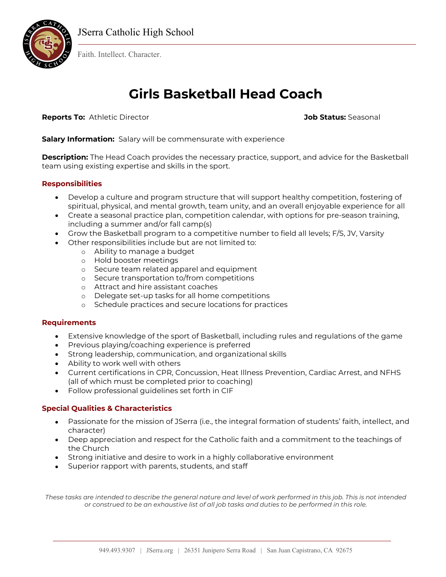

Faith. Intellect. Character.

# **Girls Basketball Head Coach**

**Reports To:** Athletic Director **Job Status:** Seasonal

**Salary Information:** Salary will be commensurate with experience

**Description:** The Head Coach provides the necessary practice, support, and advice for the Basketball team using existing expertise and skills in the sport.

## **Responsibilities**

- Develop a culture and program structure that will support healthy competition, fostering of spiritual, physical, and mental growth, team unity, and an overall enjoyable experience for all
- Create a seasonal practice plan, competition calendar, with options for pre-season training, including a summer and/or fall camp(s)
- Grow the Basketball program to a competitive number to field all levels; F/S, JV, Varsity
- Other responsibilities include but are not limited to:
	- o Ability to manage a budget
	- o Hold booster meetings
	- o Secure team related apparel and equipment
	- o Secure transportation to/from competitions
	- o Attract and hire assistant coaches
	- o Delegate set-up tasks for all home competitions
	- o Schedule practices and secure locations for practices

## **Requirements**

- Extensive knowledge of the sport of Basketball, including rules and regulations of the game
- Previous playing/coaching experience is preferred
- Strong leadership, communication, and organizational skills
- Ability to work well with others
- Current certifications in CPR, Concussion, Heat Illness Prevention, Cardiac Arrest, and NFHS (all of which must be completed prior to coaching)
- Follow professional guidelines set forth in CIF

## **Special Qualities & Characteristics**

- Passionate for the mission of JSerra (i.e., the integral formation of students' faith, intellect, and character)
- Deep appreciation and respect for the Catholic faith and a commitment to the teachings of the Church
- Strong initiative and desire to work in a highly collaborative environment
- Superior rapport with parents, students, and staff

*These tasks are intended to describe the general nature and level of work performed in this job. This is not intended or construed to be an exhaustive list of all job tasks and duties to be performed in this role.*